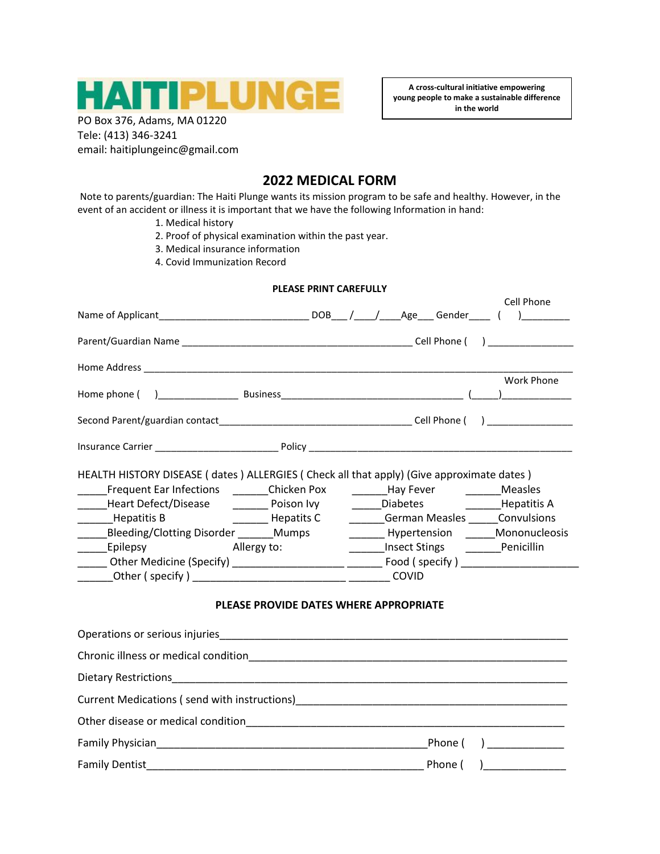

**A cross-cultural initiative empowering young people to make a sustainable difference in the world**

PO Box 376, Adams, MA 01220 Tele: (413) 346-3241 email: haitiplungeinc@gmail.com

## **2022 MEDICAL FORM**

Note to parents/guardian: The Haiti Plunge wants its mission program to be safe and healthy. However, in the event of an accident or illness it is important that we have the following Information in hand:

- 1. Medical history
- 2. Proof of physical examination within the past year.
- 3. Medical insurance information
- 4. Covid Immunization Record

| PLEASE PRINT CAREFULLY                                                                                                                                                                                                                                                                          |                                                                                                                                                                                                                                                              |  |  |
|-------------------------------------------------------------------------------------------------------------------------------------------------------------------------------------------------------------------------------------------------------------------------------------------------|--------------------------------------------------------------------------------------------------------------------------------------------------------------------------------------------------------------------------------------------------------------|--|--|
|                                                                                                                                                                                                                                                                                                 | Cell Phone                                                                                                                                                                                                                                                   |  |  |
|                                                                                                                                                                                                                                                                                                 |                                                                                                                                                                                                                                                              |  |  |
|                                                                                                                                                                                                                                                                                                 |                                                                                                                                                                                                                                                              |  |  |
|                                                                                                                                                                                                                                                                                                 | Work Phone                                                                                                                                                                                                                                                   |  |  |
|                                                                                                                                                                                                                                                                                                 |                                                                                                                                                                                                                                                              |  |  |
|                                                                                                                                                                                                                                                                                                 |                                                                                                                                                                                                                                                              |  |  |
| HEALTH HISTORY DISEASE (dates) ALLERGIES (Check all that apply) (Give approximate dates)<br>Heart Defect/Disease<br>Poison Ivy<br>_______Hepatitis B        _______ Hepatits C    _______German Measles ______Convulsions<br>Bleeding/Clotting Disorder _______Mumps<br>Epilepsy<br>Allergy to: | _____Diabetes<br>_______Hepatitis A<br>Hypertension Mononucleosis<br>_______Insect Stings _______Penicillin<br>______ Other Medicine (Specify) _____________________ _______ Food ( specify ) ____________________<br>PLEASE PROVIDE DATES WHERE APPROPRIATE |  |  |
|                                                                                                                                                                                                                                                                                                 |                                                                                                                                                                                                                                                              |  |  |
|                                                                                                                                                                                                                                                                                                 |                                                                                                                                                                                                                                                              |  |  |
|                                                                                                                                                                                                                                                                                                 |                                                                                                                                                                                                                                                              |  |  |
|                                                                                                                                                                                                                                                                                                 |                                                                                                                                                                                                                                                              |  |  |
|                                                                                                                                                                                                                                                                                                 |                                                                                                                                                                                                                                                              |  |  |
|                                                                                                                                                                                                                                                                                                 |                                                                                                                                                                                                                                                              |  |  |
| <b>Family Dentist</b>                                                                                                                                                                                                                                                                           | Phone (                                                                                                                                                                                                                                                      |  |  |